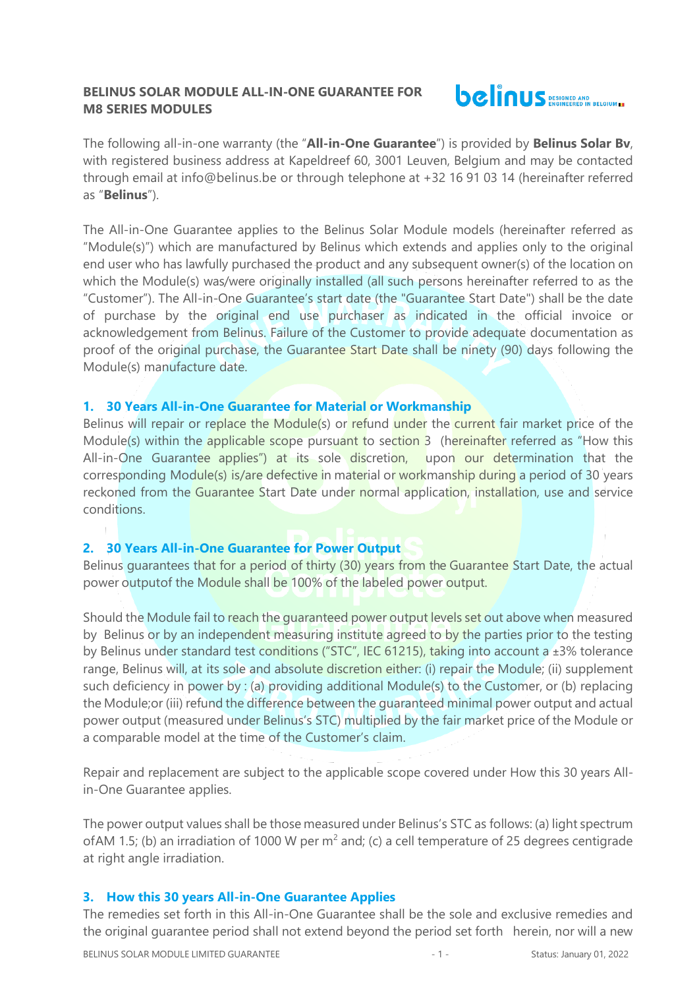## **BELINUS SOLAR MODULE ALL-IN-ONE GUARANTEE FOR M8 SERIES MODULES**



The following all-in-one warranty (the "**All-in-One Guarantee**") is provided by **Belinus Solar Bv**, with registered business address at Kapeldreef 60, 3001 Leuven, Belgium and may be contacted through email at info@belinus.be or through telephone at +32 16 91 03 14 (hereinafter referred as "**Belinus**").

The All-in-One Guarantee applies to the Belinus Solar Module models (hereinafter referred as "Module(s)") which are manufactured by Belinus which extends and applies only to the original end user who has lawfully purchased the product and any subsequent owner(s) of the location on which the Module(s) was/were originally installed (all such persons hereinafter referred to as the "Customer"). The All-in-One Guarantee's start date (the "Guarantee Start Date") shall be the date of purchase by the original end use purchaser as indicated in the official invoice or acknowledgement from Belinus. Failure of the Customer to provide adequate documentation as proof of the original purchase, the Guarantee Start Date shall be ninety (90) days following the Module(s) manufacture date.

### **1. 30 Years All-in-One Guarantee for Material or Workmanship**

Belinus will repair or replace the Module(s) or refund under the current fair market price of the Module(s) within the applicable scope pursuant to section 3 (hereinafter referred as "How this All-in-One Guarantee applies") at its sole discretion, upon our determination that the corresponding Module(s) is/are defective in material or workmanship during a period of 30 years reckoned from the Guarantee Start Date under normal application, installation, use and service conditions.

# **2. 30 Years All-in-One Guarantee for Power Output**

Belinus guarantees that for a period of thirty (30) years from the Guarantee Start Date, the actual power outputof the Module shall be 100% of the labeled power output.

Should the Module fail to reach the guaranteed power output levels set out above when measured by Belinus or by an independent measuring institute agreed to by the parties prior to the testing by Belinus under standard test conditions ("STC", IEC 61215), taking into account a ±3% tolerance range, Belinus will, at its sole and absolute discretion either: (i) repair the Module; (ii) supplement such deficiency in power by : (a) providing additional Module(s) to the Customer, or (b) replacing the Module;or (iii) refund the difference between the guaranteed minimal power output and actual power output (measured under Belinus's STC) multiplied by the fair market price of the Module or a comparable model at the time of the Customer's claim.

Repair and replacement are subject to the applicable scope covered under How this 30 years Allin-One Guarantee applies.

The power output values shall be those measured under Belinus's STC as follows: (a) light spectrum of AM 1.5; (b) an irradiation of 1000 W per  $m^2$  and; (c) a cell temperature of 25 degrees centigrade at right angle irradiation.

# **3. How this 30 years All-in-One Guarantee Applies**

The remedies set forth in this All-in-One Guarantee shall be the sole and exclusive remedies and the original guarantee period shall not extend beyond the period set forth herein, nor will a new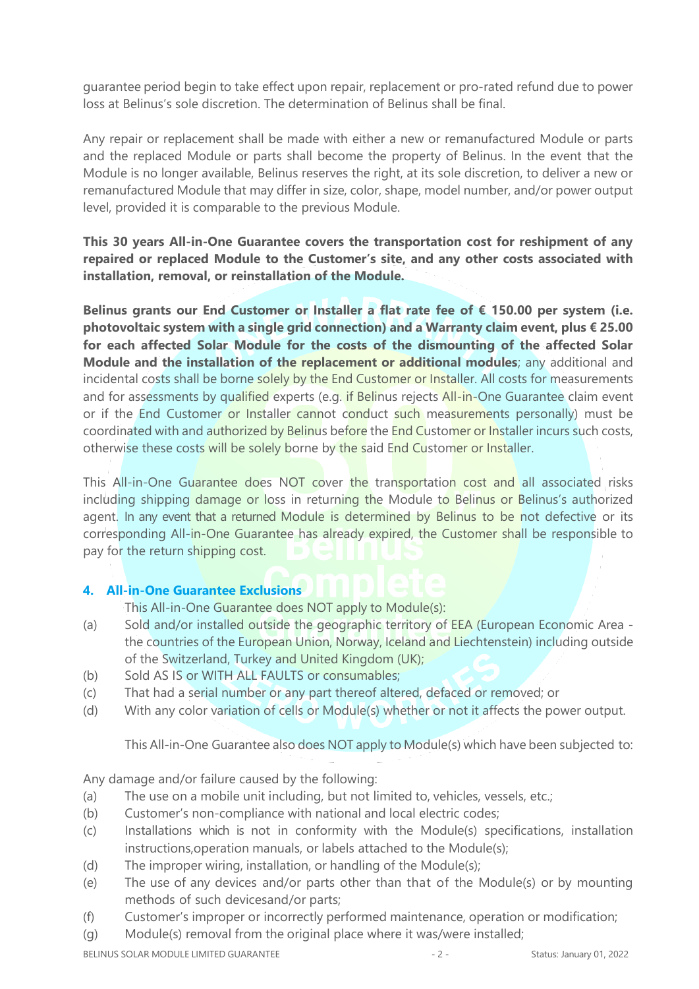guarantee period begin to take effect upon repair, replacement or pro-rated refund due to power loss at Belinus's sole discretion. The determination of Belinus shall be final.

Any repair or replacement shall be made with either a new or remanufactured Module or parts and the replaced Module or parts shall become the property of Belinus. In the event that the Module is no longer available, Belinus reserves the right, at its sole discretion, to deliver a new or remanufactured Module that may differ in size, color, shape, model number, and/or power output level, provided it is comparable to the previous Module.

**This 30 years All-in-One Guarantee covers the transportation cost for reshipment of any repaired or replaced Module to the Customer's site, and any other costs associated with installation, removal, or reinstallation of the Module.** 

**Belinus grants our End Customer or Installer a flat rate fee of € 150.00 per system (i.e. photovoltaic system with a single grid connection) and a Warranty claim event, plus € 25.00 for each affected Solar Module for the costs of the dismounting of the affected Solar Module and the installation of the replacement or additional modules**; any additional and incidental costs shall be borne solely by the End Customer or Installer. All costs for measurements and for assessments by qualified experts (e.g. if Belinus rejects All-in-One Guarantee claim event or if the End Customer or Installer cannot conduct such measurements personally) must be coordinated with and authorized by Belinus before the End Customer or Installer incurs such costs, otherwise these costs will be solely borne by the said End Customer or Installer.

This All-in-One Guarantee does NOT cover the transportation cost and all associated risks including shipping damage or loss in returning the Module to Belinus or Belinus's authorized agent. In any event that a returned Module is determined by Belinus to be not defective or its corresponding All-in-One Guarantee has already expired, the Customer shall be responsible to pay for the return shipping cost.

# **4. All-in-One Guarantee Exclusions**

This All-in-One Guarantee does NOT apply to Module(s):

- (a) Sold and/or installed outside the geographic territory of EEA (European Economic Area the countries of the European Union, Norway, Iceland and Liechtenstein) including outside of the Switzerland, Turkey and United Kingdom (UK);
- (b) Sold AS IS or WITH ALL FAULTS or consumables;
- (c) That had a serial number or any part thereof altered, defaced or removed; or
- (d) With any color variation of cells or Module(s) whether or not it affects the power output.

This All-in-One Guarantee also does NOT apply to Module(s) which have been subjected to:

Any damage and/or failure caused by the following:

- (a) The use on a mobile unit including, but not limited to, vehicles, vessels, etc.;
- (b) Customer's non-compliance with national and local electric codes;
- (c) Installations which is not in conformity with the Module(s) specifications, installation instructions,operation manuals, or labels attached to the Module(s);
- (d) The improper wiring, installation, or handling of the Module(s);
- (e) The use of any devices and/or parts other than that of the Module(s) or by mounting methods of such devicesand/or parts;
- (f) Customer's improper or incorrectly performed maintenance, operation or modification;
- (g) Module(s) removal from the original place where it was/were installed;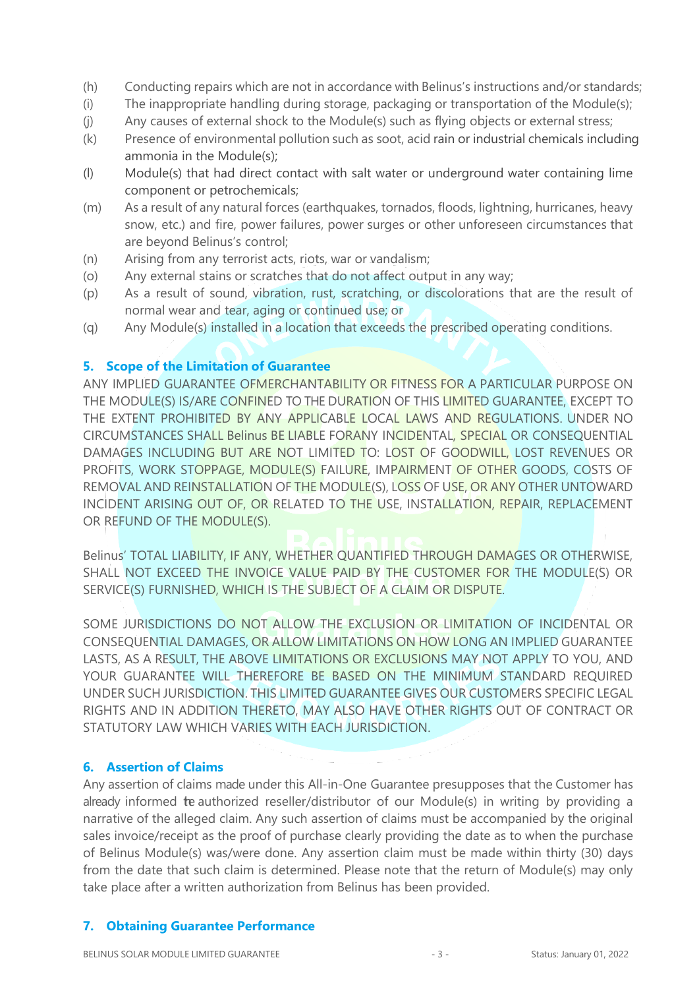- (h) Conducting repairs which are not in accordance with Belinus's instructions and/or standards;
- (i) The inappropriate handling during storage, packaging or transportation of the Module(s);
- (j) Any causes of external shock to the Module(s) such as flying objects or external stress;
- (k) Presence of environmental pollution such as soot, acid rain or industrial chemicals including ammonia in the Module(s);
- (l) Module(s) that had direct contact with salt water or underground water containing lime component or petrochemicals;
- (m) As a result of any natural forces (earthquakes, tornados, floods, lightning, hurricanes, heavy snow, etc.) and fire, power failures, power surges or other unforeseen circumstances that are beyond Belinus's control;
- (n) Arising from any terrorist acts, riots, war or vandalism;
- (o) Any external stains or scratches that do not affect output in any way;
- (p) As a result of sound, vibration, rust, scratching, or discolorations that are the result of normal wear and tear, aging or continued use; or
- (q) Any Module(s) installed in a location that exceeds the prescribed operating conditions.

#### **5. Scope of the Limitation of Guarantee**

ANY IMPLIED GUARANTEE OFMERCHANTABILITY OR FITNESS FOR A PARTICULAR PURPOSE ON THE MODULE(S) IS/ARE CONFINED TO THE DURATION OF THIS LIMITED GUARANTEE, EXCEPT TO THE EXTENT PROHIBITED BY ANY APPLICABLE LOCAL LAWS AND REGULATIONS. UNDER NO CIRCUMSTANCES SHALL Belinus BE LIABLE FORANY INCIDENTAL, SPECIAL OR CONSEQUENTIAL DAMAGES INCLUDING BUT ARE NOT LIMITED TO: LOST OF GOODWILL, LOST REVENUES OR PROFITS, WORK STOPPAGE, MODULE(S) FAILURE, IMPAIRMENT OF OTHER GOODS, COSTS OF REMOVAL AND REINSTALLATION OF THE MODULE(S), LOSS OF USE, OR ANY OTHER UNTOWARD INCIDENT ARISING OUT OF, OR RELATED TO THE USE, INSTALLATION, REPAIR, REPLACEMENT OR REFUND OF THE MODULE(S).

Belinus' TOTAL LIABILITY, IF ANY, WHETHER QUANTIFIED THROUGH DAMAGES OR OTHERWISE, SHALL NOT EXCEED THE INVOICE VALUE PAID BY THE CUSTOMER FOR THE MODULE(S) OR SERVICE(S) FURNISHED, WHICH IS THE SUBJECT OF A CLAIM OR DISPUTE.

SOME JURISDICTIONS DO NOT ALLOW THE EXCLUSION OR LIMITATION OF INCIDENTAL OR CONSEQUENTIAL DAMAGES, OR ALLOW LIMITATIONS ON HOW LONG AN IMPLIED GUARANTEE LASTS, AS A RESULT, THE ABOVE LIMITATIONS OR EXCLUSIONS MAY NOT APPLY TO YOU, AND YOUR GUARANTEE WILL THEREFORE BE BASED ON THE MINIMUM STANDARD REQUIRED UNDER SUCH JURISDICTION. THIS LIMITED GUARANTEE GIVES OUR CUSTOMERS SPECIFIC LEGAL RIGHTS AND IN ADDITION THERETO, MAY ALSO HAVE OTHER RIGHTS OUT OF CONTRACT OR STATUTORY LAW WHICH VARIES WITH EACH JURISDICTION.

### **6. Assertion of Claims**

Any assertion of claims made under this All-in-One Guarantee presupposes that the Customer has already informed te authorized reseller/distributor of our Module(s) in writing by providing a narrative of the alleged claim. Any such assertion of claims must be accompanied by the original sales invoice/receipt as the proof of purchase clearly providing the date as to when the purchase of Belinus Module(s) was/were done. Any assertion claim must be made within thirty (30) days from the date that such claim is determined. Please note that the return of Module(s) may only take place after a written authorization from Belinus has been provided.

#### **7. Obtaining Guarantee Performance**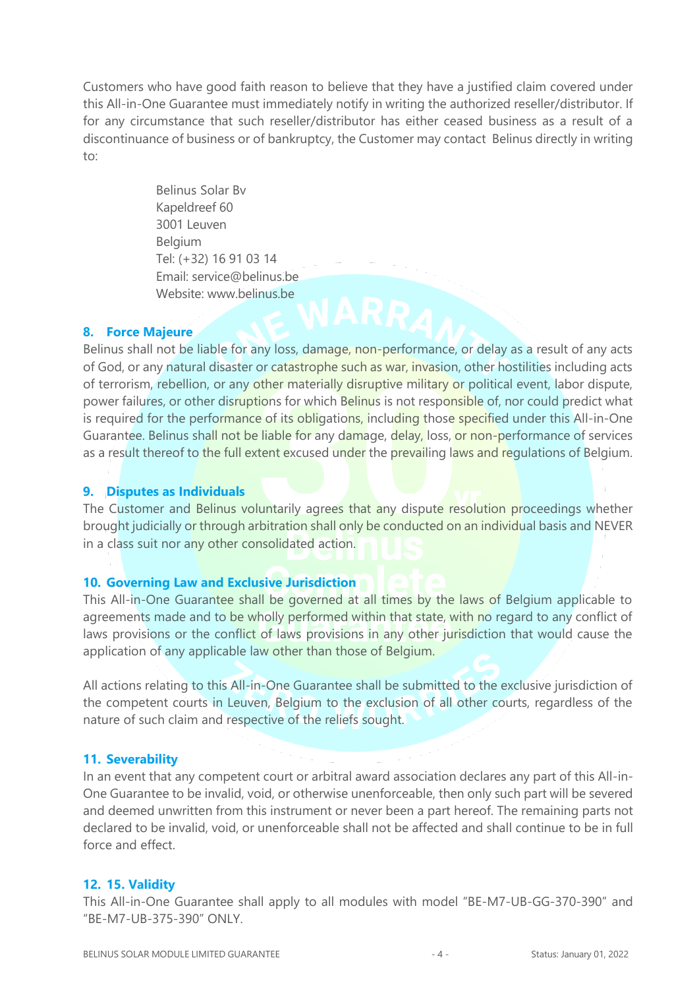Customers who have good faith reason to believe that they have a justified claim covered under this All-in-One Guarantee must immediately notify in writing the authorized reseller/distributor. If for any circumstance that such reseller/distributor has either ceased business as a result of a discontinuance of business or of bankruptcy, the Customer may contact Belinus directly in writing to:

> Belinus Solar Bv Kapeldreef 60 3001 Leuven Belgium Tel: (+32) 16 91 03 14 Email: service@belinus.be Website: www.belinus.be

#### **8. Force Majeure**

Belinus shall not be liable for any loss, damage, non-performance, or delay as a result of any acts of God, or any natural disaster or catastrophe such as war, invasion, other hostilities including acts of terrorism, rebellion, or any other materially disruptive military or political event, labor dispute, power failures, or other disruptions for which Belinus is not responsible of, nor could predict what is required for the performance of its obligations, including those specified under this All-in-One Guarantee. Belinus shall not be liable for any damage, delay, loss, or non-performance of services as a result thereof to the full extent excused under the prevailing laws and regulations of Belgium.

## **9. Disputes as Individuals**

The Customer and Belinus voluntarily agrees that any dispute resolution proceedings whether brought judicially or through arbitration shall only be conducted on an individual basis and NEVER in a class suit nor any other consolidated action.

#### **10. Governing Law and Exclusive Jurisdiction**

This All-in-One Guarantee shall be governed at all times by the laws of Belgium applicable to agreements made and to be wholly performed within that state, with no regard to any conflict of laws provisions or the conflict of laws provisions in any other jurisdiction that would cause the application of any applicable law other than those of Belgium.

All actions relating to this All-in-One Guarantee shall be submitted to the exclusive jurisdiction of the competent courts in Leuven, Belgium to the exclusion of all other courts, regardless of the nature of such claim and respective of the reliefs sought.

#### **11. Severability**

In an event that any competent court or arbitral award association declares any part of this All-in-One Guarantee to be invalid, void, or otherwise unenforceable, then only such part will be severed and deemed unwritten from this instrument or never been a part hereof. The remaining parts not declared to be invalid, void, or unenforceable shall not be affected and shall continue to be in full force and effect.

#### **12. 15. Validity**

This All-in-One Guarantee shall apply to all modules with model "BE-M7-UB-GG-370-390" and "BE-M7-UB-375-390" ONLY.